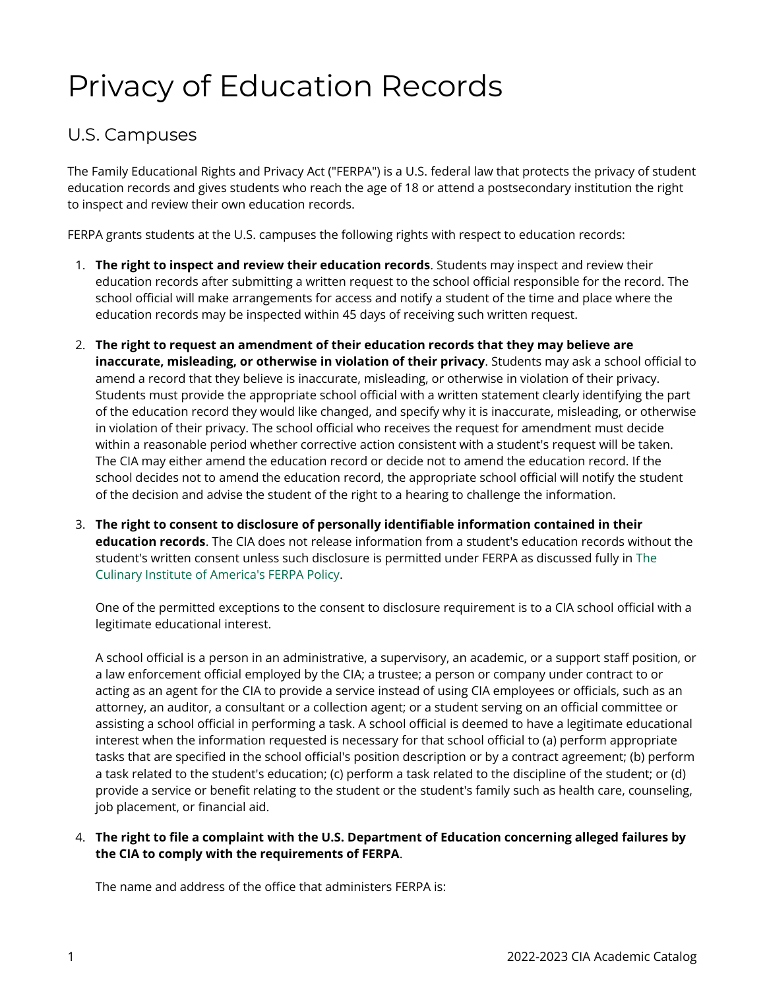## Privacy of Education Records

## U.S. Campuses

The Family Educational Rights and Privacy Act ("FERPA") is a U.S. federal law that protects the privacy of student education records and gives students who reach the age of 18 or attend a postsecondary institution the right to inspect and review their own education records.

FERPA grants students at the U.S. campuses the following rights with respect to education records:

- 1. **The right to inspect and review their education records**. Students may inspect and review their education records after submitting a written request to the school official responsible for the record. The school official will make arrangements for access and notify a student of the time and place where the education records may be inspected within 45 days of receiving such written request.
- 2. **The right to request an amendment of their education records that they may believe are inaccurate, misleading, or otherwise in violation of their privacy**. Students may ask a school official to amend a record that they believe is inaccurate, misleading, or otherwise in violation of their privacy. Students must provide the appropriate school official with a written statement clearly identifying the part of the education record they would like changed, and specify why it is inaccurate, misleading, or otherwise in violation of their privacy. The school official who receives the request for amendment must decide within a reasonable period whether corrective action consistent with a student's request will be taken. The CIA may either amend the education record or decide not to amend the education record. If the school decides not to amend the education record, the appropriate school official will notify the student of the decision and advise the student of the right to a hearing to challenge the information.
- 3. **The right to consent to disclosure of personally identifiable information contained in their education records**. The CIA does not release information from a student's education records without the student's written consent unless such disclosure is permitted under FERPA as discussed fully in [The](http://www.ciachef.edu/uploadedFiles/Pages/CIA_Policies/ferpa-policy.pdf)  [Culinary Institute of America's FERPA Policy.](http://www.ciachef.edu/uploadedFiles/Pages/CIA_Policies/ferpa-policy.pdf)

One of the permitted exceptions to the consent to disclosure requirement is to a CIA school official with a legitimate educational interest.

A school official is a person in an administrative, a supervisory, an academic, or a support staff position, or a law enforcement official employed by the CIA; a trustee; a person or company under contract to or acting as an agent for the CIA to provide a service instead of using CIA employees or officials, such as an attorney, an auditor, a consultant or a collection agent; or a student serving on an official committee or assisting a school official in performing a task. A school official is deemed to have a legitimate educational interest when the information requested is necessary for that school official to (a) perform appropriate tasks that are specified in the school official's position description or by a contract agreement; (b) perform a task related to the student's education; (c) perform a task related to the discipline of the student; or (d) provide a service or benefit relating to the student or the student's family such as health care, counseling, job placement, or financial aid.

## 4. **The right to file a complaint with the U.S. Department of Education concerning alleged failures by the CIA to comply with the requirements of FERPA**.

The name and address of the office that administers FERPA is: